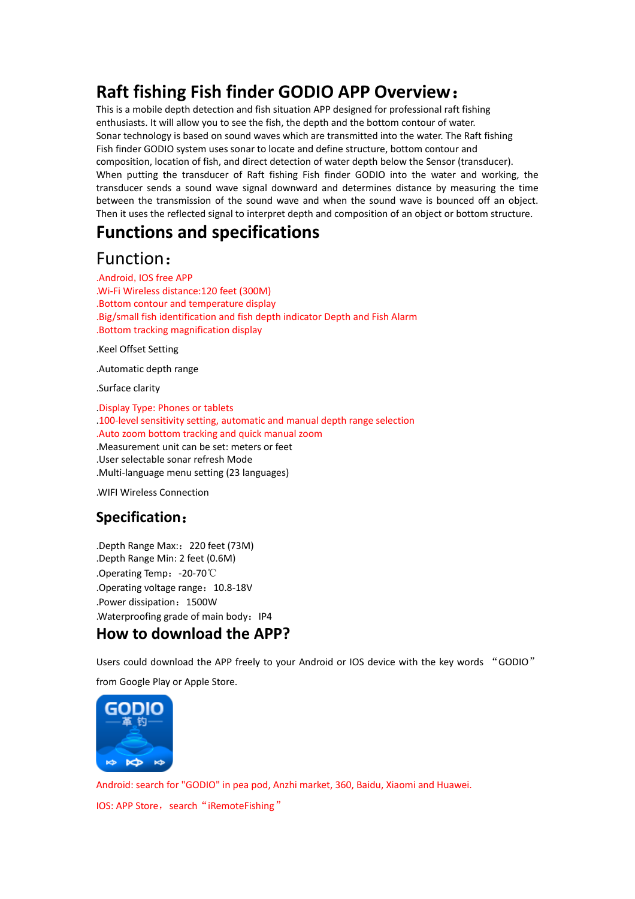# **Raft fishing Fish finder GODIO APP Overview**:

This is a mobile depth detection and fish situation APP designed for professional raft fishing enthusiasts. It will allow you to see the fish, the depth and the bottom contour of water. Sonar technology is based on sound waves which are transmitted into the water. The Raft fishing Fish finder GODIO system uses sonar to locate and define structure, bottom contour and composition, location of fish, and direct detection of water depth below the Sensor (transducer). When putting the transducer of Raft fishing Fish finder GODIO into the water and working, the transducer sends a sound wave signal downward and determines distance by measuring the time between the transmission of the sound wave and when the sound wave is bounced off an object. Then it uses the reflected signal to interpret depth and composition of an object or bottom structure.

## **Functions and specifications**

## Function:

.Android,IOS free APP .Wi-Fi Wireless distance:120 feet (300M) .Bottom contour and temperature display .Big/small fish identification and fish depth indicator Depth and Fish Alarm .Bottom tracking magnification display

.Keel Offset Setting

.Automatic depth range

.Surface clarity

.Display Type: Phones or tablets .100-level sensitivity setting, automatic and manual depth range selection .Auto zoom bottom tracking and quick manual zoom .Measurement unit can be set: meters or feet .User selectable sonar refresh Mode .Multi-language menu setting (23 languages)

.WIFI Wireless Connection

## **Specification**:

.Depth Range Max::220 feet (73M) .Depth Range Min: 2 feet (0.6M) .Operating Temp:-20-70℃ .Operating voltage range: 10.8-18V .Power dissipation: 1500W .Waterproofing grade of main body: IP4

## **How to download the APP?**

Users could download the APP freely to your Android or IOS device with the key words "GODIO" from Google Play or Apple Store.



Android: search for "GODIO" in pea pod, Anzhi market, 360, Baidu, Xiaomi and Huawei. IOS: APP Store, search "iRemoteFishing"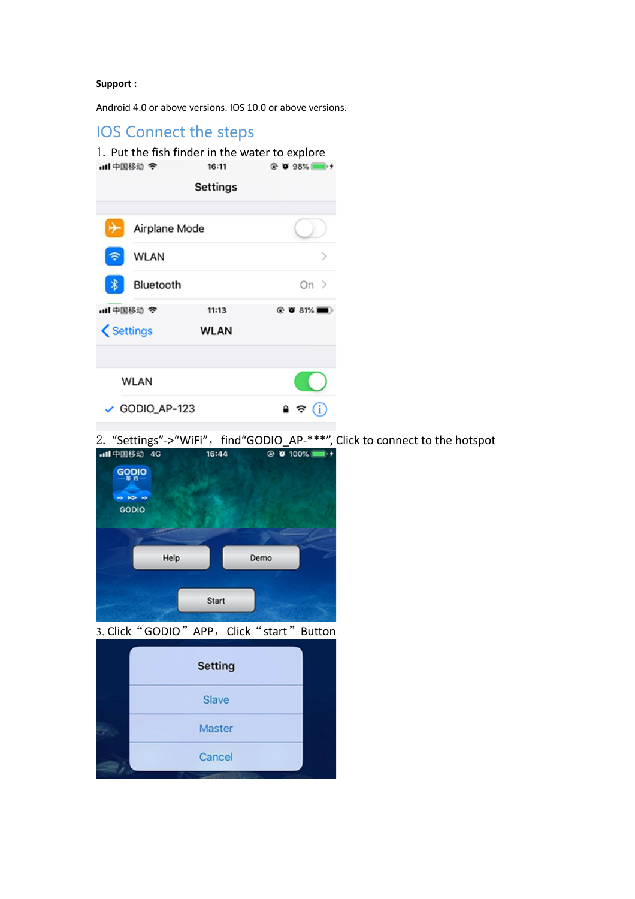#### **Support :**

Android 4.0 or above versions. IOS 10.0 or above versions.

## IOS Connect the steps

|                  |               |          | 1. Put the fish finder in the water to explore |  |
|------------------|---------------|----------|------------------------------------------------|--|
| ull中国移动 令        |               | 16:11    | $@$ 0 98%                                      |  |
|                  |               | Settings |                                                |  |
|                  | Airplane Mode |          |                                                |  |
|                  | WLAN          |          |                                                |  |
|                  | Bluetooth     |          | On $>$                                         |  |
| all 中国移动 今       |               | 11:13    | $@$ 0 81%                                      |  |
| <b>くSettings</b> |               | WLAN     |                                                |  |
| WLAN             |               |          |                                                |  |
| ✓                | GODIO_AP-123  |          |                                                |  |

2. "Settings"->"WiFi",find"GODIO\_AP-\*\*\*", Click to connect to the hotspot

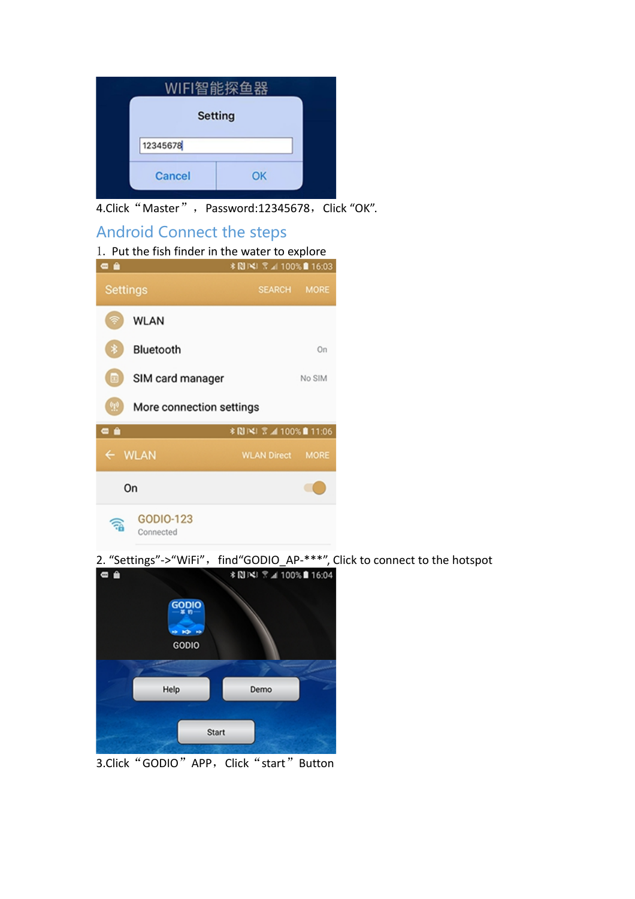|          | WIFI智能探鱼器      |
|----------|----------------|
|          | <b>Setting</b> |
| 12345678 |                |
| Cancel   | ок             |

4.Click "Master", Password:12345678, Click "OK".

## Android Connect the steps



2. "Settings"->"WiFi", find"GODIO\_AP-\*\*\*", Click to connect to the hotspot  $*NN \times NN \times 1000$ 



3.Click "GODIO" APP, Click "start" Button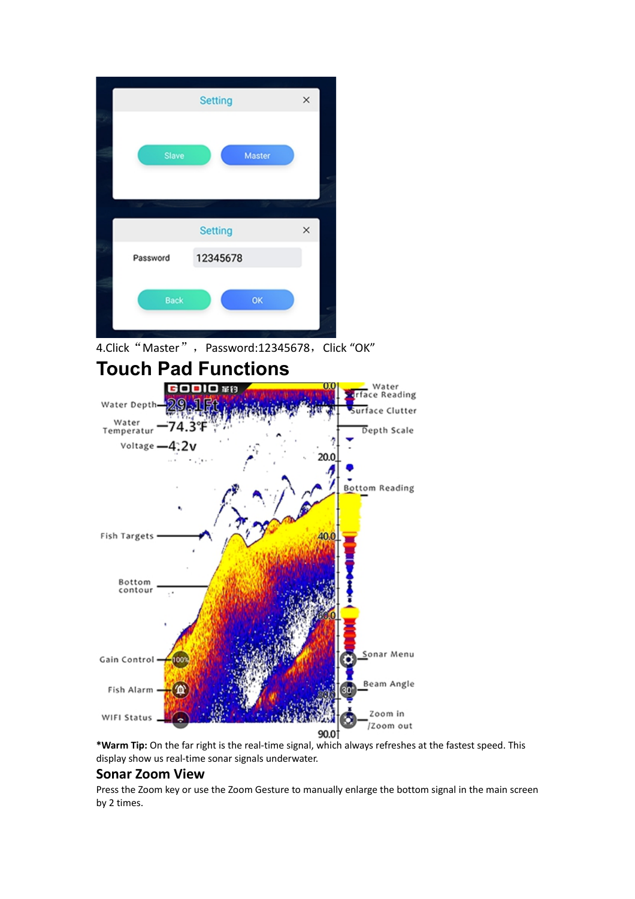| Slave    | Master         |   |
|----------|----------------|---|
|          |                |   |
|          | <b>Setting</b> | × |
| Password | 12345678       |   |

4.Click "Master", Password:12345678, Click "OK"



**\*Warm Tip:** On the far right is the real-time signal, which always refreshes at the fastest speed. This display show us real-time sonar signals underwater.

### **Sonar Zoom View**

Press the Zoom key or use the Zoom Gesture to manually enlarge the bottom signal in the main screen by 2 times.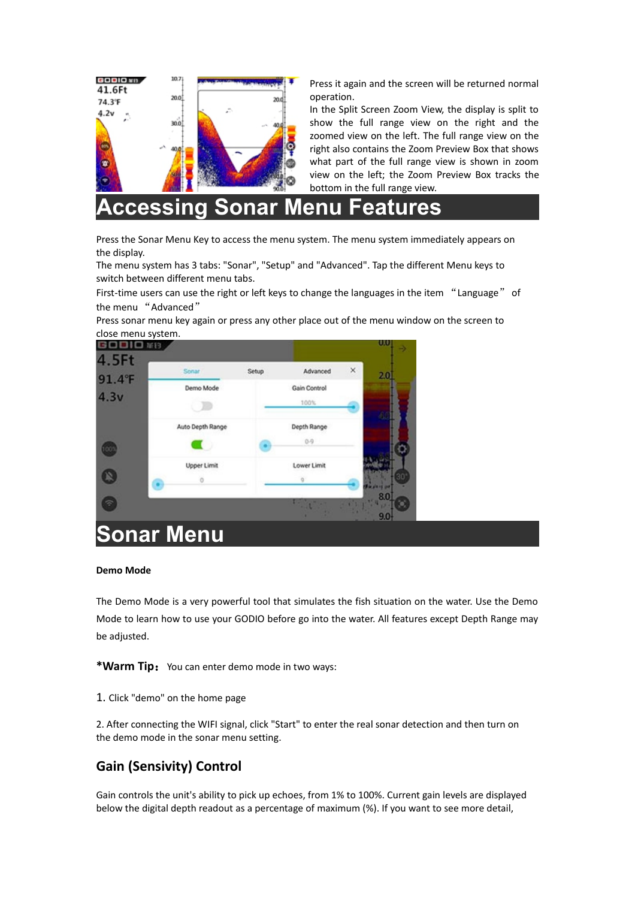

Press it again and the screen will be returned normal operation.

In the Split Screen Zoom View, the display is split to show the full range view on the right and the zoomed view on the left. The full range view on the right also contains the Zoom Preview Box that shows what part of the full range view is shown in zoom view on the left; the Zoom Preview Box tracks the bottom in the full range view.

**Accessing Sonar Menu Features**

Press the Sonar Menu Key to access the menu system. The menu system immediately appears on the display.

The menu system has 3 tabs: "Sonar", "Setup" and "Advanced". Tap the different Menu keys to switch between different menu tabs.

First-time users can use the right or left keys to change the languages in the item "Language" of the menu "Advanced"

Press sonar menu key again or press any other place out of the menu window on the screen to close menu system.



#### **Demo Mode**

The Demo Mode is a very powerful tool that simulates the fish situation on the water. Use the Demo Mode to learn how to use your GODIO before go into the water. All features except Depth Range may be adjusted.

\*Warm Tip: You can enter demo mode in two ways:

1. Click "demo" on the home page

2. After connecting the WIFI signal, click "Start" to enter the real sonar detection and then turn on the demo mode in the sonar menu setting.

## **Gain (Sensivity) Control**

Gain controls the unit's ability to pick up echoes, from 1% to 100%. Current gain levels are displayed below the digital depth readout as a percentage of maximum (%). If you want to see more detail,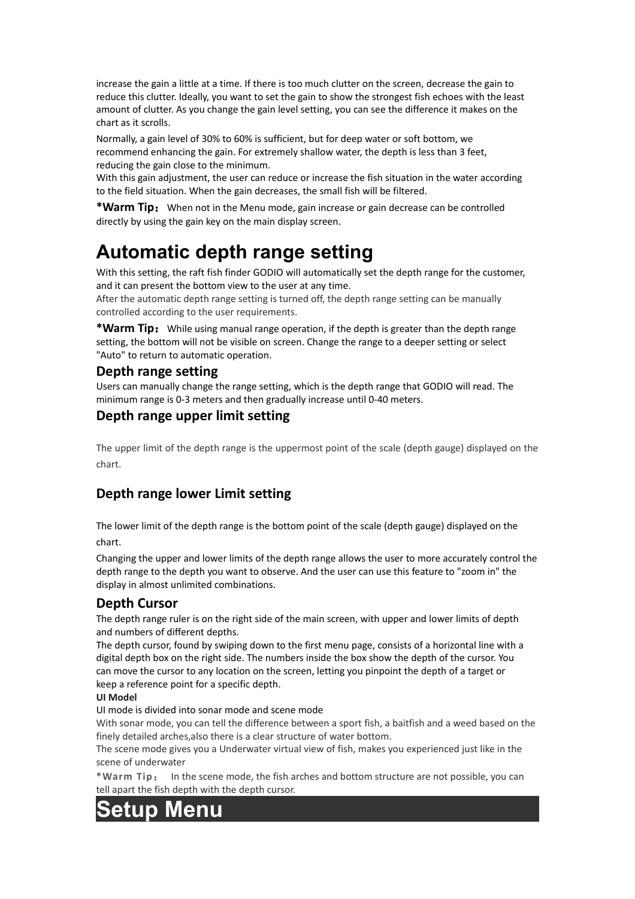increase the gain a little at a time. If there is too much clutter on the screen, decrease the gain to reduce this clutter. Ideally, you want to set the gain to show the strongest fish echoes with the least amount of clutter. As you change the gain level setting, you can see the difference it makes on the chart as it scrolls.

Normally, a gain level of 30% to 60% is sufficient, but for deep water or soft bottom, we recommend enhancing the gain. For extremely shallow water, the depth is less than 3 feet, reducing the gain close to the minimum.

With this gain adjustment, the user can reduce or increase the fish situation in the water according to the field situation. When the gain decreases, the small fish will be filtered.

\*Warm Tip: When not in the Menu mode, gain increase or gain decrease can be controlled directly by using the gain key on the main display screen.

# **Automatic depth range setting**

With this setting, the raft fish finder GODIO will automatically set the depth range for the customer, and it can present the bottom view to the user at any time.

After the automatic depth range setting is turned off, the depth range setting can be manually controlled according to the user requirements.

\*Warm Tip: While using manual range operation, if the depth is greater than the depth range setting, the bottom will not be visible on screen. Change the range to a deeper setting or select "Auto" to return to automatic operation.

### **Depth range setting**

Users can manually change the range setting, which is the depth range that GODIO will read. The minimum range is 0-3 meters and then gradually increase until 0-40 meters.

### **Depth range upper limit setting**

The upper limit of the depth range is the uppermost point of the scale (depth gauge) displayed on the chart.

## **Depth range lower Limit setting**

The lower limit of the depth range is the bottom point of the scale (depth gauge) displayed on the chart.

Changing the upper and lower limits of the depth range allows the user to more accurately control the depth range to the depth you want to observe. And the user can use this feature to "zoom in" the display in almost unlimited combinations.

### **Depth Cursor**

The depth range ruler is on the right side of the main screen, with upper and lower limits of depth and numbers of different depths.

The depth cursor, found by swiping down to the first menu page, consists of a horizontal line with a digital depth box on the right side. The numbers inside the box show the depth of the cursor. You can move the cursor to any location on the screen, letting you pinpoint the depth of a target or keep a reference point for a specific depth.

#### **UI Model**

UI mode is divided into sonar mode and scene mode

With sonar mode, you can tell the difference between a sport fish, a baitfish and a weed based on the finely detailed arches,also there is a clear structure of water bottom.

The scene mode gives you a Underwater virtual view of fish, makes you experienced just like in the scene of underwater

**\*Warm Tip**: In the scene mode, the fish arches and bottom structure are not possible, you can tell apart the fish depth with the depth cursor.

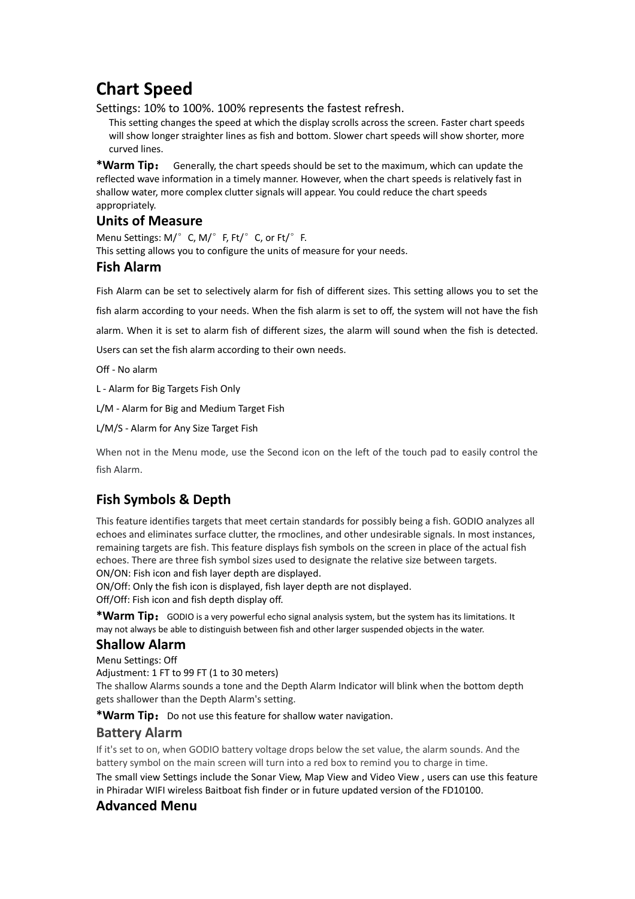# **Chart Speed**

Settings: 10% to 100%. 100% represents the fastest refresh.

This setting changes the speed at which the display scrolls across the screen. Faster chart speeds will show longer straighter lines as fish and bottom. Slower chart speeds will show shorter, more curved lines.

**\*Warm Tip**: Generally, the chart speeds should be set to the maximum, which can update the reflected wave information in a timely manner. However, when the chart speeds is relatively fast in shallow water, more complex clutter signals will appear. You could reduce the chart speeds appropriately.

### **Units of Measure**

Menu Settings: M/°C, M/°F, Ft/°C, or Ft/°F. This setting allows you to configure the units of measure for your needs.

### **Fish Alarm**

Fish Alarm can be set to selectively alarm for fish of different sizes. This setting allows you to set the

fish alarm according to your needs. When the fish alarm is set to off, the system will not have the fish

alarm. When it is set to alarm fish of different sizes, the alarm will sound when the fish is detected.

Users can set the fish alarm according to their own needs.

Off - No alarm

L - Alarm for Big Targets Fish Only

L/M - Alarm for Big and Medium Target Fish

L/M/S - Alarm for Any Size Target Fish

When not in the Menu mode, use the Second icon on the left of the touch pad to easily control the fish Alarm.

## **Fish Symbols & Depth**

This feature identifies targets that meet certain standards for possibly being a fish. GODIO analyzes all echoes and eliminates surface clutter, the rmoclines, and other undesirable signals. In most instances, remaining targets are fish. This feature displays fish symbols on the screen in place of the actual fish echoes. There are three fish symbol sizes used to designate the relative size between targets.

ON/ON: Fish icon and fish layer depth are displayed.

ON/Off: Only the fish icon is displayed, fish layer depth are not displayed.

Off/Off: Fish icon and fish depth display off.

\*Warm Tip: GODIO is a very powerful echo signal analysis system, but the system has its limitations. It may not always be able to distinguish between fish and other larger suspended objects in the water.

### **Shallow Alarm**

Menu Settings: Off Adjustment: 1 FT to 99 FT (1 to 30 meters) The shallow Alarms sounds a tone and the Depth Alarm Indicator will blink when the bottom depth gets shallower than the Depth Alarm's setting.

\*Warm Tip: Do not use this feature for shallow water navigation.

#### **Battery Alarm**

If it's set to on, when GODIO battery voltage drops below the set value, the alarm sounds. And the battery symbol on the main screen will turn into a red box to remind you to charge in time.

The small view Settings include the Sonar View, Map View and Video View , users can use this feature in Phiradar WIFI wireless Baitboat fish finder or in future updated version of the FD10100.

### **Advanced Menu**